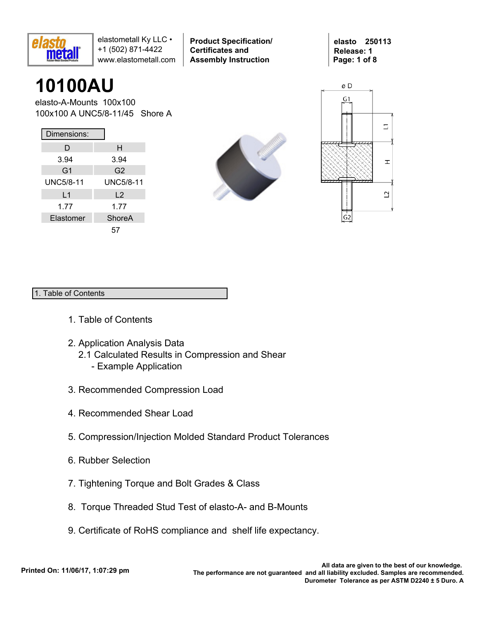

**Product Specification/ Certificates and Assembly Instruction**

**elasto 250113 Release: 1 Page: 1 of 8**

# **10100AU**

elasto-A-Mounts 100x100 100x100 A UNC5/8-11/45 Shore A

| Dimensions:      |                  |
|------------------|------------------|
| D                | н                |
| 3.94             | 3.94             |
| G <sub>1</sub>   | G <sub>2</sub>   |
| <b>UNC5/8-11</b> | <b>UNC5/8-11</b> |
| L1               | L <sub>2</sub>   |
| 1.77             | 1.77             |
| Elastomer        | ShoreA           |
|                  | 57               |





### 1. Table of Contents

- 1. Table of Contents
- 2. Application Analysis Data
	- 2.1 Calculated Results in Compression and Shear
		- Example Application
- 3. Recommended Compression Load
- 4. Recommended Shear Load
- 5. Compression/Injection Molded Standard Product Tolerances
- 6. Rubber Selection
- 7. Tightening Torque and Bolt Grades & Class
- 8. Torque Threaded Stud Test of elasto-A- and B-Mounts
- 9. Certificate of RoHS compliance and shelf life expectancy.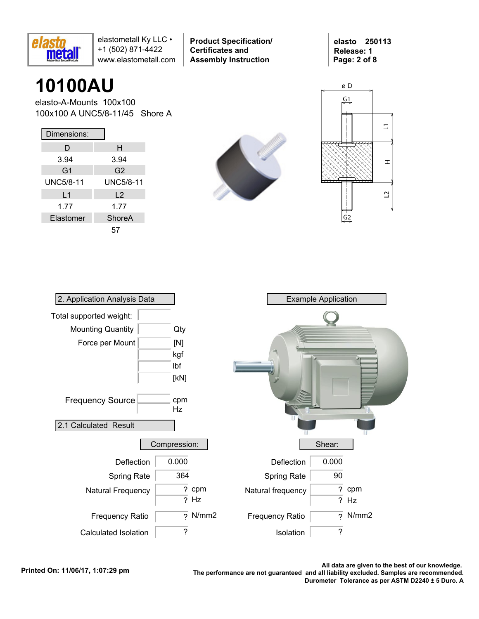

**Product Specification/ Certificates and Assembly Instruction**

**elasto 250113 Release: 1 Page: 2 of 8**

# **10100AU**

elasto-A-Mounts 100x100 100x100 A UNC5/8-11/45 Shore A

| Dimensions:    |                  |
|----------------|------------------|
| D              | н                |
| 3.94           | 3.94             |
| G <sub>1</sub> | G <sub>2</sub>   |
| UNC5/8-11      | <b>UNC5/8-11</b> |
| L1             | L <sub>2</sub>   |
| 1.77           | 1.77             |
| Elastomer      | ShoreA           |
|                | 57               |





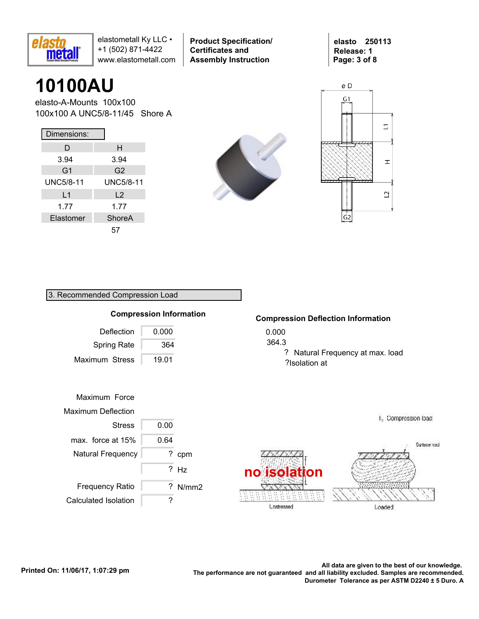

**Product Specification/ Certificates and Assembly Instruction**

**elasto 250113 Release: 1 Page: 3 of 8**

# **10100AU**

elasto-A-Mounts 100x100 100x100 A UNC5/8-11/45 Shore A

| Dimensions:    |                  |
|----------------|------------------|
| D              | н                |
| 3.94           | 3.94             |
| G <sub>1</sub> | G2               |
| UNC5/8-11      | <b>UNC5/8-11</b> |
| L1             | $\mathsf{L}2$    |
| 1.77           | 1.77             |
| Elastomer      | ShoreA           |
|                | 57               |





### 3. Recommended Compression Load



#### **Compression Deflection Information**

- 0.000
- 364.3

? Natural Frequency at max. load ?Isolation at

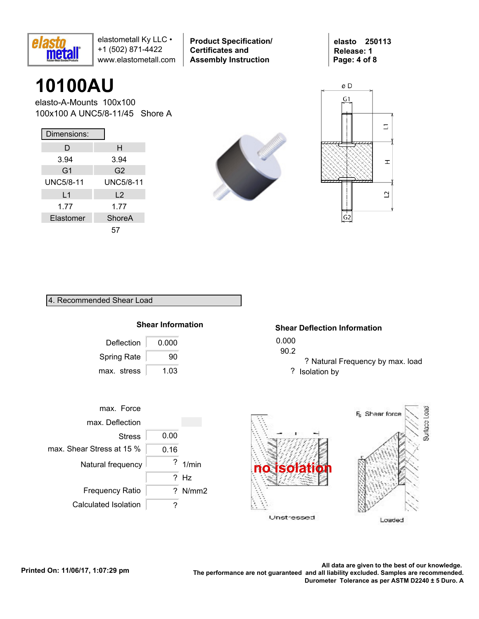

**Product Specification/ Certificates and Assembly Instruction**

**elasto 250113 Release: 1 Page: 4 of 8**

# **10100AU**

elasto-A-Mounts 100x100 100x100 A UNC5/8-11/45 Shore A

| Dimensions:    |                  |
|----------------|------------------|
| D              | н                |
| 3.94           | 3.94             |
| G <sub>1</sub> | G2               |
| UNC5/8-11      | <b>UNC5/8-11</b> |
| L1             | $\mathsf{L}2$    |
| 1.77           | 1.77             |
| Elastomer      | ShoreA           |
|                | 57               |





#### 4. Recommended Shear Load



#### **Shear Deflection Information**

- 0.000
- 90.2
	- ? Natural Frequency by max. load ? Isolation by



Loaded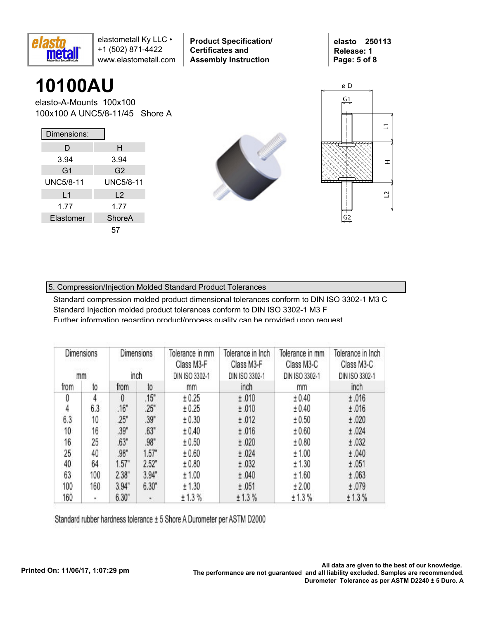

**Product Specification/ Certificates and Assembly Instruction**

**elasto 250113 Release: 1 Page: 5 of 8**

# **10100AU**

elasto-A-Mounts 100x100 100x100 A UNC5/8-11/45 Shore A

| Dimensions:    |                |
|----------------|----------------|
| D              | н              |
| 3.94           | 3.94           |
| G <sub>1</sub> | G <sub>2</sub> |
| UNC5/8-11      | UNC5/8-11      |
| L1             | $\mathsf{L}2$  |
| 1.77           | 1.77           |
| Elastomer      | ShoreA         |
|                | 57             |





### 5. Compression/Injection Molded Standard Product Tolerances

Standard compression molded product dimensional tolerances conform to DIN ISO 3302-1 M3 C Standard Injection molded product tolerances conform to DIN ISO 3302-1 M3 F Further information regarding product/process quality can be provided upon request.

| Dimensions<br>mm |     |          | Dimensions<br>inch | Tolerance in mm<br>Class M3-F<br>DIN ISO 3302-1 | Tolerance in Inch<br>Class M3-F<br>DIN ISO 3302-1 | Tolerance in mm<br>Class M3-C<br>DIN ISO 3302-1 | Tolerance in Inch<br>Class M3-C<br>DIN ISO 3302-1 |
|------------------|-----|----------|--------------------|-------------------------------------------------|---------------------------------------------------|-------------------------------------------------|---------------------------------------------------|
| from             | to  | from     | to                 | mm                                              | inch                                              | mm                                              | inch                                              |
| 0                | 4   | $\theta$ | .15"               | ± 0.25                                          | ±.010                                             | ± 0.40                                          | ±.016                                             |
| 4                | 6.3 | .16"     | .25"               | ± 0.25                                          | ±.010                                             | ± 0.40                                          | ±.016                                             |
| 6.3              | 10  | 25"      | .39"               | ± 0.30                                          | ±.012                                             | ± 0.50                                          | ±.020                                             |
| 10               | 16  | .39"     | .63"               | ± 0.40                                          | ±.016                                             | ± 0.60                                          | ±.024                                             |
| 16               | 25  | .63"     | .98"               | ± 0.50                                          | ±.020                                             | ± 0.80                                          | ±.032                                             |
| 25               | 40  | .98"     | 1.57"              | ± 0.60                                          | ±.024                                             | ± 1.00                                          | ±.040                                             |
| 40               | 64  | 1.57"    | 2.52"              | ± 0.80                                          | ±.032                                             | ± 1.30                                          | ±.051                                             |
| 63               | 100 | 2.38"    | 3.94"              | ± 1.00                                          | ±.040                                             | ± 1.60                                          | ±.063                                             |
| 100              | 160 | 3.94"    | 6.30"              | ± 1.30                                          | ±.051                                             | ± 2.00                                          | ±.079                                             |
| 160              | ٠   | 6.30"    | ٠                  | ± 1.3%                                          | ± 1.3%                                            | ± 1.3%                                          | ± 1.3%                                            |

Standard rubber hardness tolerance ± 5 Shore A Durometer per ASTM D2000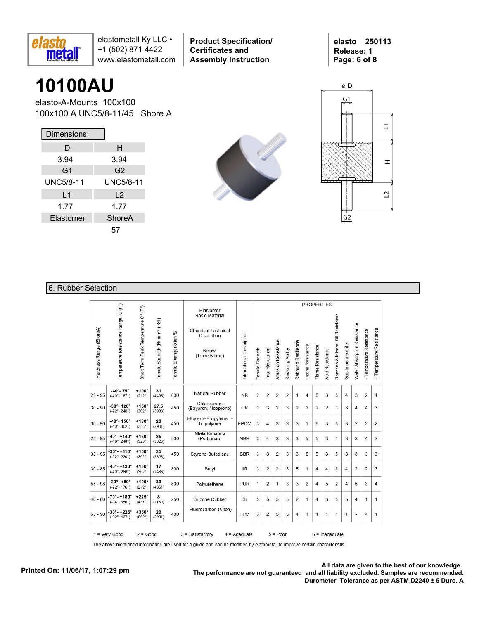

**Product Specification/ Certificates and Assembly Instruction**

**elasto 250113 Release: 1 Page: 6 of 8**

### **10100AU**

elasto-A-Mounts 100x100 100x100 A UNC5/8-11/45 Shore A

| Dimensions:      |                |
|------------------|----------------|
| D                | н              |
| 3.94             | 3.94           |
| G <sub>1</sub>   | G <sub>2</sub> |
| <b>UNC5/8-11</b> | UNC5/8-11      |
| L1               | $\mathsf{L}2$  |
| 1.77             | 1.77           |
| Elastomer        | ShoreA         |
|                  | 57             |





### 6. Rubber Selection

|                         |                                                               |                                     |                                            |                             |                                                                                                   |                           |                  |                 |                            |                   |                    |                  |                  | <b>PROPERTIES</b>      |                                  |                         |                             |                          |                          |
|-------------------------|---------------------------------------------------------------|-------------------------------------|--------------------------------------------|-----------------------------|---------------------------------------------------------------------------------------------------|---------------------------|------------------|-----------------|----------------------------|-------------------|--------------------|------------------|------------------|------------------------|----------------------------------|-------------------------|-----------------------------|--------------------------|--------------------------|
| Hardness Range (ShoreA) | Temperature Resistance Range 'C (F")                          | Short Term Peak Temperature C° (F°) | Tensile Strength (N/mm <sup>2)</sup> (PSI) | %<br>Tensile Eloangariotion | Elastomer<br><b>Basic Material</b><br>Chemical-Technical<br>Discription<br>Below:<br>(Trade Name) | International Description | Tensile Strength | Tear Resistance | <b>Abrasion Resistance</b> | Restoring Ability | Rebound Resilience | Ozone Resistance | Flame Resistance | <b>Acid Resistance</b> | Benzene & Mineral Oil Resistance | Gas Impermeability      | Water Absorption Resistance | - Temperature Resistance | + Temperature Resistance |
| $25 - 95$               | $-40^{\circ} - 75^{\circ}$<br>$(-40° - 167°)$                 | $+100^\circ$<br>$(212^{\circ})$     | 31<br>(4496)                               | 800                         | Natural Rubber                                                                                    | <b>NR</b>                 | $\overline{2}$   | $\overline{2}$  | $\overline{2}$             | 2                 | $\mathbf{1}$       | $\overline{4}$   | 5                | 3                      | 5                                | $\overline{4}$          | 3                           | $\overline{2}$           | $\overline{4}$           |
| $30 - 90$               | $-30^{\circ} - 120^{\circ}$<br>$(-22^{\circ} - 248^{\circ})$  | $+150^\circ$<br>$(302^{\circ})$     | 27.5<br>(3988)                             | 450                         | Chloroprene<br>(Baypren, Neoprene)                                                                | CR                        | $\overline{2}$   | 3               | 2                          | 3                 | 2                  | $\overline{2}$   | 2                | 2                      | 3                                | 3                       | 4                           | 4                        | 3                        |
| $30 - 90$               | $-40^{\circ} - 150^{\circ}$<br>$(-40^{\circ} - 302^{\circ})$  | $+180^\circ$<br>(356°)              | 20<br>(2901)                               | 450                         | Ethylene-Propylene -<br>Terpolymer                                                                | <b>EPDM</b>               | 3                | 4               | 3                          | 3                 | 3                  | 1                | 6                | 3                      | 5                                | 3                       | $\overline{2}$              | 3                        | $\overline{2}$           |
| $25 - 95$               | $-40^{\circ} - +140^{\circ}$<br>$(-40^{\circ} - 248^{\circ})$ | $+160^\circ$<br>(320°)              | 25<br>(3626)                               | 500                         | Ntrile Butadine<br>(Perbunan)                                                                     | <b>NBR</b>                | 3                | $\overline{4}$  | 3                          | 3                 | 3                  | 5                | 5                | 3                      | 1                                | 3                       | 3                           | 4                        | 3                        |
| $35 - 95$               | $-30^\circ - +110^\circ$<br>$(-22^{\circ} - 230^{\circ})$     | $+150^\circ$<br>$(302^{\circ})$     | 25<br>(3626)                               | 450                         | Styrene-Butadiene                                                                                 | <b>SBR</b>                | 3                | 3               | $\overline{2}$             | 3                 | 3                  | 5                | 5                | 3                      | 5                                | 3                       | 3                           | 3                        | 3                        |
| $30 - 85$               | $-40^{\circ} - +130^{\circ}$<br>$(-40^\circ - 266^\circ)$     | $+150^\circ$<br>$(302^{\circ})$     | 17<br>(2466)                               | 800                         | Butyl                                                                                             | <b>IIR</b>                | 3                | 2               | 2                          | 3                 | 5                  | 1                | 4                | $\overline{4}$         | 6                                | 4                       | 2                           | 2                        | 3                        |
| $55 - 98$               | $-30^{\circ} - +80^{\circ}$<br>$(-22^{\circ} - 176^{\circ})$  | $+100^\circ$<br>(212°)              | 30<br>(4351)                               | 800                         | Polyurethane                                                                                      | <b>PUR</b>                | 1                | 2               | $\mathbf{1}$               | 3                 | 3                  | $\overline{2}$   | $\overline{4}$   | 5                      | $\overline{2}$                   | $\overline{\mathbf{4}}$ | 5                           | 3                        | $\overline{4}$           |
| $40 - 80$               | $-70^{\circ} - +180^{\circ}$<br>$(-94^{\circ} - 356^{\circ})$ | $+225^\circ$<br>(437°)              | 8<br>(1160)                                | 250                         | Silicone Rubber                                                                                   | SI                        | 5                | 5               | 5                          | 5                 | 2                  | 1                | 4                | 3                      | 5                                | 5                       | 4                           | 1                        | 1                        |
| $65 - 90$               | $-30^{\circ} - +225^{\circ}$<br>$(-22^{\circ} - 437^{\circ})$ | $+350^\circ$<br>(662°)              | 20<br>(2901)                               | 400                         | Fluorocarbon (Viton)                                                                              | <b>FPM</b>                | 3                | 2               | 5                          | 5                 | 4                  | 1                | 1                | 1                      | 1                                | 1                       | ä,                          | 4                        | 1                        |

The above mentioned information are used for a guide and can be modified by elatometall to improve certain characteristis.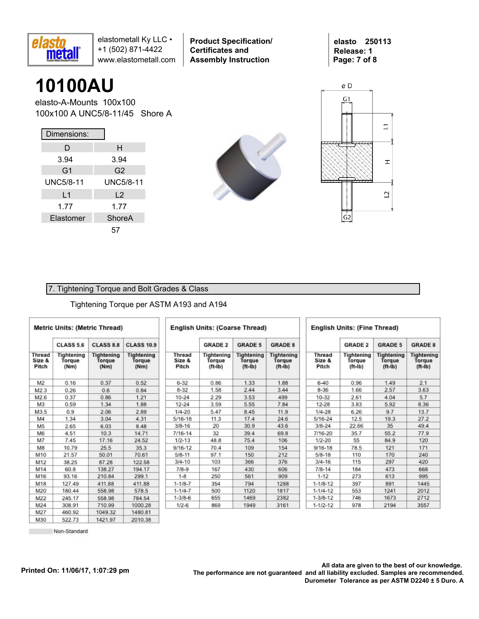

**Product Specification/ Certificates and Assembly Instruction**

**elasto 250113 Release: 1 Page: 7 of 8**

## **10100AU**

elasto-A-Mounts 100x100 100x100 A UNC5/8-11/45 Shore A

| Dimensions:      |                  |
|------------------|------------------|
| D                | н                |
| 3.94             | 3.94             |
| G <sub>1</sub>   | G <sub>2</sub>   |
| <b>UNC5/8-11</b> | <b>UNC5/8-11</b> |
| L1               | L <sub>2</sub>   |
| 1.77             | 1.77             |
| Elastomer        | ShoreA           |
|                  | 57               |





### 7. Tightening Torque and Bolt Grades & Class

#### Tightening Torque per ASTM A193 and A194

|                                  | <b>Metric Units: (Metric Thread)</b> |                                     |                                     | <b>English Units: (Coarse Thread)</b> |                                   |                                          |                                          |                                  |                                   | <b>English Units: (Fine Thread)</b>      |                                          |  |  |  |  |  |
|----------------------------------|--------------------------------------|-------------------------------------|-------------------------------------|---------------------------------------|-----------------------------------|------------------------------------------|------------------------------------------|----------------------------------|-----------------------------------|------------------------------------------|------------------------------------------|--|--|--|--|--|
|                                  | <b>CLASS 5.6</b>                     | <b>CLASS 8.8</b>                    | <b>CLASS 10.9</b>                   |                                       | <b>GRADE 2</b>                    | <b>GRADE 5</b>                           | <b>GRADE 8</b>                           |                                  | <b>GRADE 2</b>                    | <b>GRADE 5</b>                           | <b>GRADE 8</b>                           |  |  |  |  |  |
| <b>Thread</b><br>Size &<br>Pitch | Tightening<br>Torque<br>(Nm)         | <b>Tightening</b><br>Torque<br>(Nm) | <b>Tightening</b><br>Torque<br>(Nm) | <b>Thread</b><br>Size &<br>Pitch      | Tightening<br>Torque<br>$(ft-lb)$ | <b>Tightening</b><br>Torque<br>$(ft-lb)$ | <b>Tightening</b><br>Torque<br>$(ft-lb)$ | <b>Thread</b><br>Size &<br>Pitch | Tightening<br>Torque<br>$(ft-lb)$ | <b>Tightening</b><br>Torque<br>$(ft-lb)$ | <b>Tightening</b><br>Torque<br>$(ft-lb)$ |  |  |  |  |  |
| M <sub>2</sub>                   | 0.16                                 | 0.37                                | 0.52                                | $6 - 32$                              | 0.86                              | 1.33                                     | 1.88                                     | $6 - 40$                         | 0.96                              | 1.49                                     | 2.1                                      |  |  |  |  |  |
| M2.3                             | 0.26                                 | 0.6                                 | 0.84                                | $8 - 32$                              | 1.58                              | 2.44                                     | 3.44                                     | $8 - 36$                         | 1.66                              | 2.57                                     | 3.63                                     |  |  |  |  |  |
| M2.6                             | 0.37                                 | 0.86                                | 1.21                                | $10 - 24$                             | 2.29                              | 3.53                                     | 499                                      | 10-32                            | 2.61                              | 4.04                                     | 5.7                                      |  |  |  |  |  |
| M <sub>3</sub>                   | 0.59                                 | 1.34                                | 1.88                                | $12 - 24$                             | 3.59                              | 5.55                                     | 7.84                                     | $12 - 28$                        | 3.83                              | 5.92                                     | 8.36                                     |  |  |  |  |  |
| M3.5                             | 0.9                                  | 2.06                                | 2.89                                | $1/4 - 20$                            | 5.47                              | 8.45                                     | 11.9                                     | $1/4 - 28$                       | 6.26                              | 9.7                                      | 13.7                                     |  |  |  |  |  |
| M4                               | 1.34                                 | 3.04                                | 4.31                                | $5/16 - 18$                           | 11.3                              | 17.4                                     | 24.6                                     | 5/16-24                          | 12.5                              | 19.3                                     | 27.2                                     |  |  |  |  |  |
| M <sub>5</sub>                   | 2.65                                 | 6.03                                | 8.48                                | $3/8 - 16$                            | 20                                | 30.9                                     | 43.6                                     | $3/8 - 24$                       | 22.66                             | 35                                       | 49.4                                     |  |  |  |  |  |
| M6                               | 4.51                                 | 10.3                                | 14.71                               | $7/16 - 14$                           | 32                                | 39.4                                     | 69.8                                     | 7/16-20                          | 35.7                              | 55.2                                     | 77.9                                     |  |  |  |  |  |
| M7                               | 7.45                                 | 17.16                               | 24.52                               | $1/2 - 13$                            | 48.8                              | 75.4                                     | 106                                      | $1/2 - 20$                       | 55                                | 84.9                                     | 120                                      |  |  |  |  |  |
| M8                               | 10.79                                | 25.5                                | 35.3                                | $9/16 - 12$                           | 70.4                              | 109                                      | 154                                      | $9/16 - 18$                      | 78.5                              | 121                                      | 171                                      |  |  |  |  |  |
| M10                              | 21.57                                | 50.01                               | 70.61                               | $5/8 - 11$                            | 97.1                              | 150                                      | 212                                      | $5/8 - 18$                       | 110                               | 170                                      | 240                                      |  |  |  |  |  |
| M12                              | 38.25                                | 87.28                               | 122.58                              | $3/4 - 10$                            | 103                               | 366                                      | 376                                      | $3/4 - 16$                       | 115                               | 297                                      | 420                                      |  |  |  |  |  |
| M14                              | 60.8                                 | 138.27                              | 194.17                              | $7/8-9$                               | 167                               | 430                                      | 606                                      | $7/8 - 14$                       | 184                               | 473                                      | 668                                      |  |  |  |  |  |
| M16                              | 93.16                                | 210.84                              | 299.1                               | $1 - 8$                               | 250                               | 561                                      | 909                                      | $1 - 12$                         | 273                               | 613                                      | 995                                      |  |  |  |  |  |
| M18                              | 127.49                               | 411.88                              | 411.88                              | $1 - 1/8 - 7$                         | 354                               | 794                                      | 1288                                     | $1 - 1/8 - 12$                   | 397                               | 891                                      | 1445                                     |  |  |  |  |  |
| M20                              | 180.44                               | 558.98                              | 578.5                               | $1 - 1/4 - 7$                         | 500                               | 1120                                     | 1817                                     | $1 - 1/4 - 12$                   | 553                               | 1241                                     | 2012                                     |  |  |  |  |  |
| M22                              | 245.17                               | 558.98                              | 784.54                              | $1 - 3/8 - 6$                         | 655                               | 1469                                     | 2382                                     | $1 - 3/8 - 12$                   | 746                               | 1673                                     | 2712                                     |  |  |  |  |  |
| M24                              | 308.91                               | 710.99                              | 1000.28                             | $1/2 - 6$                             | 869                               | 1949                                     | 3161                                     | $1 - 1/2 - 12$                   | 978                               | 2194                                     | 3557                                     |  |  |  |  |  |
| M27                              | 460.92                               | 104932                              | 1480.81                             |                                       |                                   |                                          |                                          |                                  |                                   |                                          |                                          |  |  |  |  |  |

522.73 Non-Standard 1421.97

2010.38

M30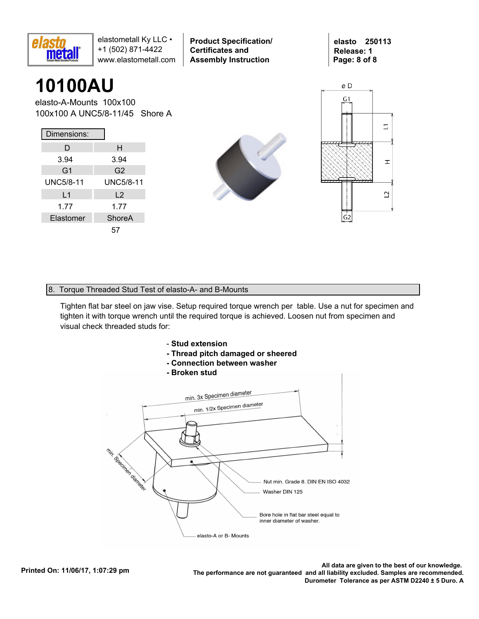

**Product Specification/ Certificates and Assembly Instruction**

**elasto 250113 Release: 1 Page: 8 of 8**

### **10100AU**

elasto-A-Mounts 100x100 100x100 A UNC5/8-11/45 Shore A

| Dimensions:      |                  |
|------------------|------------------|
| D                | н                |
| 3.94             | 3.94             |
| G <sub>1</sub>   | G <sub>2</sub>   |
| <b>UNC5/8-11</b> | <b>UNC5/8-11</b> |
| L1               | L <sub>2</sub>   |
| 1.77             | 1.77             |
| Elastomer        | ShoreA           |
|                  | 57               |





#### 8. Torque Threaded Stud Test of elasto-A- and B-Mounts

Tighten flat bar steel on jaw vise. Setup required torque wrench per table. Use a nut for specimen and tighten it with torque wrench until the required torque is achieved. Loosen nut from specimen and visual check threaded studs for:



- **Thread pitch damaged or sheered**
- **Connection between washer**
- **Broken stud**